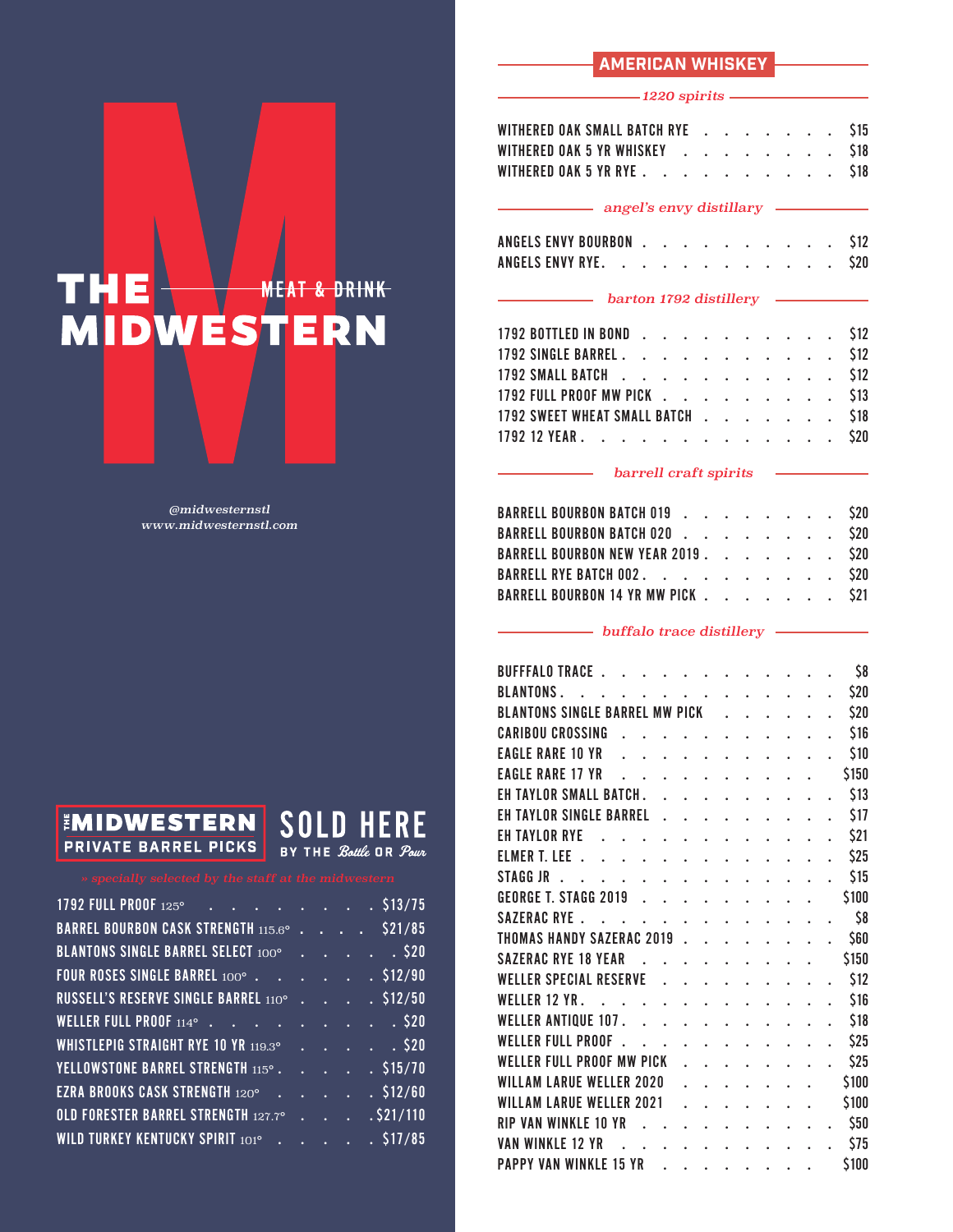### AMERICAN WHISKEY

### *1220 spirits*

| WITHERED OAK SMALL BATCH RYE \$15  |  |  |  |  |  |  |  |
|------------------------------------|--|--|--|--|--|--|--|
|                                    |  |  |  |  |  |  |  |
| WITHERED OAK 5 YR RYE \$18         |  |  |  |  |  |  |  |
| angel's envy distillary expression |  |  |  |  |  |  |  |
| .                                  |  |  |  |  |  |  |  |

### ANGELS ENVY BOURBON . . . . . . . . . . \$12 ANGELS ENVY RYE. . . . . . . . . . . . \$20

### *barton 1792 distillery*

| 1792 BOTTLED IN BOND \$12         |  |  |  |  |  |  |  |
|-----------------------------------|--|--|--|--|--|--|--|
| 1792 SINGLE BARREL \$12           |  |  |  |  |  |  |  |
| 1792 SMALL BATCH \$12             |  |  |  |  |  |  |  |
| 1792 FULL PROOF MW PICK \$13      |  |  |  |  |  |  |  |
| 1792 SWEET WHEAT SMALL BATCH \$18 |  |  |  |  |  |  |  |
| 1792 12 YEAR. \$20                |  |  |  |  |  |  |  |

### *barrell craft spirits*

|  |  |  | BARRELL BOURBON BATCH 019 \$20<br>BARRELL BOURBON BATCH 020 \$20<br>BARRELL BOURBON NEW YEAR 2019 \$20<br>BARRELL RYE BATCH 002. \$20<br>BARRELL BOURBON 14 YR MW PICK \$21 |
|--|--|--|-----------------------------------------------------------------------------------------------------------------------------------------------------------------------------|

### **buffalo trace distillery**

| <b>BUFFFALO TRACE</b>                 |  |  |  |  |  |  |  | \$8   |
|---------------------------------------|--|--|--|--|--|--|--|-------|
| <b>BLANTONS.</b>                      |  |  |  |  |  |  |  | \$20  |
| <b>BLANTONS SINGLE BARREL MW PICK</b> |  |  |  |  |  |  |  | \$20  |
| <b>CARIBOU CROSSING</b>               |  |  |  |  |  |  |  | \$16  |
| <b>EAGLE RARE 10 YR</b>               |  |  |  |  |  |  |  | \$10  |
| <b>EAGLE RARE 17 YR</b>               |  |  |  |  |  |  |  | \$150 |
| EH TAYLOR SMALL BATCH.                |  |  |  |  |  |  |  | \$13  |
| <b>EH TAYLOR SINGLE BARREL</b>        |  |  |  |  |  |  |  | \$17  |
| EH TAYLOR RYE                         |  |  |  |  |  |  |  | \$21  |
| <b>ELMER T. LEE</b>                   |  |  |  |  |  |  |  | \$25  |
| STAGG JR                              |  |  |  |  |  |  |  | \$15  |
| <b>GEORGE T. STAGG 2019</b>           |  |  |  |  |  |  |  | \$100 |
| SAZERAC RYE.                          |  |  |  |  |  |  |  | \$8   |
| <b>THOMAS HANDY SAZERAC 2019</b>      |  |  |  |  |  |  |  | \$60  |
| <b>SAZERAC RYE 18 YEAR</b>            |  |  |  |  |  |  |  | \$150 |
| <b>WELLER SPECIAL RESERVE</b>         |  |  |  |  |  |  |  | \$12  |
| WELLER 12 YR.                         |  |  |  |  |  |  |  | \$16  |
| <b>WELLER ANTIQUE 107.</b>            |  |  |  |  |  |  |  | \$18  |
| <b>WELLER FULL PROOF</b>              |  |  |  |  |  |  |  | \$25  |
| WELLER FULL PROOF MW PICK             |  |  |  |  |  |  |  | \$25  |
| WILLAM LARUE WELLER 2020              |  |  |  |  |  |  |  | \$100 |
| <b>WILLAM LARUE WELLER 2021</b>       |  |  |  |  |  |  |  | \$100 |
| <b>RIP VAN WINKIF 10 YR</b>           |  |  |  |  |  |  |  | \$50  |
| <b>VAN WINKLE 12 YR</b>               |  |  |  |  |  |  |  | \$75  |
| <b>PAPPY VAN WINKLE 15 YR</b>         |  |  |  |  |  |  |  | \$100 |
|                                       |  |  |  |  |  |  |  |       |

# THE WESTERN **MEAT & DRINK**

*@midwesternstl www.midwesternstl.com*



## **SOLD HERE** BY THE Bottle OR Pour

| 1792 FULL PROOF 125° \$13/75                |  |  |  |  |  |                                                           |
|---------------------------------------------|--|--|--|--|--|-----------------------------------------------------------|
| BARREL BOURBON CASK STRENGTH 115.6° \$21/85 |  |  |  |  |  |                                                           |
| BLANTONS SINGLE BARREL SELECT 100° \$20     |  |  |  |  |  |                                                           |
| FOUR ROSES SINGLE BARREL 100° \$12/90       |  |  |  |  |  |                                                           |
| RUSSELL'S RESERVE SINGLE BARREL 110°        |  |  |  |  |  | $\cdot$ $\cdot$ $\cdot$ $\cdot$ $\sqrt{512/50}$           |
| WELLER FULL PROOF $114^{\circ}$ \$20        |  |  |  |  |  |                                                           |
| WHISTLEPIG STRAIGHT RYE 10 YR 119.3° \$20   |  |  |  |  |  |                                                           |
| YELLOWSTONE BARREL STRENGTH 115° \$15/70    |  |  |  |  |  |                                                           |
| EZRA BROOKS CASK STRENGTH 120° \$12/60      |  |  |  |  |  |                                                           |
| OLD FORESTER BARREL STRENGTH 127.7°         |  |  |  |  |  | $\overline{\cdot \cdot \cdot \cdot \cdot}$ $. \$ \$21/110 |
| WILD TURKEY KENTUCKY SPIRIT 101° \$17/85    |  |  |  |  |  |                                                           |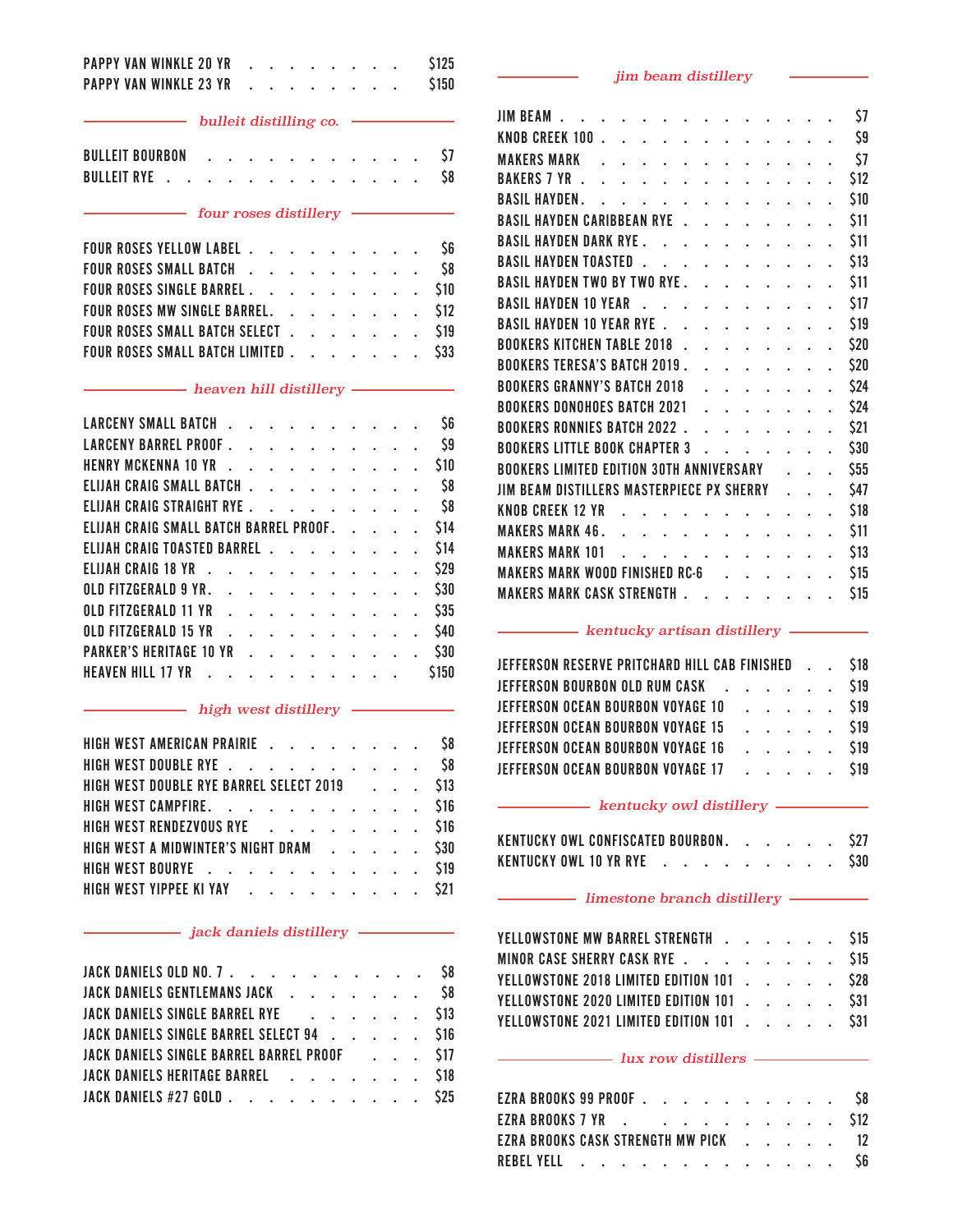| PAPPY VAN WINKLE 20 YR                   |  |                                                                                                                     |                      |                                                                                                                                                 |                                          |                           |                                                       |                             |                      | \$125       |
|------------------------------------------|--|---------------------------------------------------------------------------------------------------------------------|----------------------|-------------------------------------------------------------------------------------------------------------------------------------------------|------------------------------------------|---------------------------|-------------------------------------------------------|-----------------------------|----------------------|-------------|
| <b>PAPPY VAN WINKLE 23 YR</b>            |  |                                                                                                                     |                      |                                                                                                                                                 |                                          |                           |                                                       |                             |                      | \$150       |
| bulleit distilling co.                   |  |                                                                                                                     |                      |                                                                                                                                                 |                                          |                           |                                                       |                             |                      |             |
| <b>BULLEIT BOURBON</b>                   |  |                                                                                                                     |                      |                                                                                                                                                 |                                          |                           |                                                       |                             |                      | \$7         |
| <b>BULLEIT RYE</b>                       |  |                                                                                                                     |                      |                                                                                                                                                 |                                          |                           |                                                       |                             |                      | \$8         |
|                                          |  | $-$ four roses distillery                                                                                           |                      |                                                                                                                                                 |                                          |                           |                                                       |                             |                      |             |
| FOUR ROSES YELLOW LABEL                  |  |                                                                                                                     |                      |                                                                                                                                                 |                                          |                           |                                                       |                             |                      | S6          |
| FOUR ROSES SMALL BATCH                   |  |                                                                                                                     |                      | $\mathbf{A}$                                                                                                                                    |                                          | $\ddot{\phantom{0}}$      | $\mathbf{r}$                                          |                             |                      | \$8         |
| FOUR ROSES SINGLE BARREL                 |  |                                                                                                                     | $\ddot{\phantom{0}}$ | $\ddot{\phantom{0}}$                                                                                                                            | $\mathcal{L}^{\pm}$                      | $\mathbb{Z}^{\mathbb{Z}}$ | $\ddot{\phantom{0}}$                                  |                             |                      | \$10        |
| FOUR ROSES MW SINGLE BARREL.             |  |                                                                                                                     |                      |                                                                                                                                                 | $\mathbf{r} = \mathbf{r} + \mathbf{r}$ . |                           |                                                       |                             |                      | \$12        |
| FOUR ROSES SMALL BATCH SELECT.           |  |                                                                                                                     |                      |                                                                                                                                                 |                                          |                           |                                                       |                             |                      | \$19        |
| FOUR ROSES SMALL BATCH LIMITED.          |  |                                                                                                                     |                      |                                                                                                                                                 |                                          |                           |                                                       |                             |                      | \$33        |
|                                          |  | - heaven hill distillery -                                                                                          |                      |                                                                                                                                                 |                                          |                           |                                                       |                             |                      |             |
| LARCENY SMALL BATCH                      |  |                                                                                                                     |                      |                                                                                                                                                 |                                          |                           |                                                       |                             |                      | \$6         |
| LARCENY BARREL PROOF                     |  |                                                                                                                     |                      |                                                                                                                                                 |                                          |                           |                                                       |                             |                      | \$9         |
| HENRY MCKENNA 10 YR                      |  |                                                                                                                     |                      |                                                                                                                                                 |                                          |                           |                                                       |                             |                      | \$10        |
| ELIJAH CRAIG SMALL BATCH                 |  |                                                                                                                     |                      |                                                                                                                                                 |                                          |                           |                                                       | $\mathcal{L}^{\pm}$         |                      | \$8         |
| ELIJAH CRAIG STRAIGHT RYE                |  |                                                                                                                     |                      |                                                                                                                                                 |                                          |                           | $\ddot{\phantom{0}}$                                  | $\mathbf{L}$                |                      | $\sqrt{58}$ |
| ELIJAH CRAIG SMALL BATCH BARREL PROOF. . |  |                                                                                                                     |                      |                                                                                                                                                 |                                          |                           | $\ddot{\phantom{0}}$                                  |                             |                      | \$14        |
| ELIJAH CRAIG TOASTED BARREL              |  |                                                                                                                     |                      |                                                                                                                                                 |                                          |                           | $\mathbf{r} = \mathbf{r} + \mathbf{r} + \mathbf{r}$ . | $\mathcal{L}^{\mathcal{L}}$ | $\ddot{\phantom{0}}$ | \$14        |
| ELIJAH CRAIG 18 YR                       |  | $\mathbf{u}^{\dagger}$ , and $\mathbf{u}^{\dagger}$ , and $\mathbf{u}^{\dagger}$ , and $\mathbf{u}^{\dagger}$ , and |                      |                                                                                                                                                 |                                          |                           |                                                       |                             | $\mathbf{r}$         | <b>\$29</b> |
| OLD FITZGERALD 9 YR.                     |  | $\mathcal{L}^{\pm}$                                                                                                 |                      | $\mathbf{u}^{\prime}$ , $\mathbf{u}^{\prime}$ , $\mathbf{u}^{\prime}$ , $\mathbf{u}^{\prime}$ , $\mathbf{u}^{\prime}$ , $\mathbf{u}^{\prime}$ , |                                          |                           |                                                       |                             |                      | \$30        |
| OLD FITZGERALD 11 YR                     |  |                                                                                                                     |                      |                                                                                                                                                 |                                          |                           |                                                       |                             |                      | $. $ \$35   |
| OLD FITZGERALD 15 YR \$40                |  |                                                                                                                     |                      |                                                                                                                                                 |                                          |                           |                                                       |                             |                      |             |
| PARKER'S HERITAGE 10 YR                  |  |                                                                                                                     |                      |                                                                                                                                                 |                                          |                           |                                                       |                             |                      | \$30        |
| HEAVEN HILL 17 YR                        |  |                                                                                                                     |                      |                                                                                                                                                 |                                          |                           |                                                       |                             |                      | \$150       |
|                                          |  | high west distillery                                                                                                |                      |                                                                                                                                                 |                                          |                           |                                                       |                             |                      |             |
| HIGH WEST AMERICAN PRAIRIE               |  |                                                                                                                     |                      |                                                                                                                                                 |                                          |                           |                                                       |                             |                      | \$8         |
| HIGH WEST DOUBLE RYE                     |  |                                                                                                                     |                      |                                                                                                                                                 |                                          |                           |                                                       | $\ddot{\phantom{0}}$        |                      | \$8         |
| HIGH WEST DOUBLE RYE BARREL SELECT 2019  |  |                                                                                                                     |                      |                                                                                                                                                 |                                          |                           |                                                       |                             |                      | \$13        |

|  | HIGH WEST DOUBLE RYE BARREL SELECT 2019 \$13   |  |  |  |  |  |  |
|--|------------------------------------------------|--|--|--|--|--|--|
|  | HIGH WEST CAMPFIRE. \$16                       |  |  |  |  |  |  |
|  | HIGH WEST RENDEZVOUS RYE A A A A A A A A A S16 |  |  |  |  |  |  |
|  | HIGH WEST A MIDWINTER'S NIGHT DRAM S30         |  |  |  |  |  |  |
|  | HIGH WEST BOURYE \$19                          |  |  |  |  |  |  |
|  | HIGH WEST YIPPEE KI YAY \$21                   |  |  |  |  |  |  |
|  |                                                |  |  |  |  |  |  |

### *jack daniels distillery*

| JACK DANIELS OLD NO. 7 \$8                   |  |  |  |  |  |  |  |
|----------------------------------------------|--|--|--|--|--|--|--|
| JACK DANIELS GENTLEMANS JACK \$8             |  |  |  |  |  |  |  |
| JACK DANIELS SINGLE BARREL RYE \$13          |  |  |  |  |  |  |  |
| JACK DANIELS SINGLE BARREL SELECT 94 \$16    |  |  |  |  |  |  |  |
| JACK DANIELS SINGLE BARREL BARREL PROOF \$17 |  |  |  |  |  |  |  |
| JACK DANIELS HERITAGE BARREL \$18            |  |  |  |  |  |  |  |
| JACK DANIELS #27 GOLD \$25                   |  |  |  |  |  |  |  |

### *jim beam distillery*

 $\overline{\phantom{0}}$ 

| <b>JIM BEAM</b>                                 |  |  |  |  |                         |                      |                      |  | \$7  |
|-------------------------------------------------|--|--|--|--|-------------------------|----------------------|----------------------|--|------|
| KNOB CREEK 100                                  |  |  |  |  |                         |                      |                      |  | \$9  |
| <b>MAKERS MARK</b>                              |  |  |  |  |                         |                      |                      |  | \$7  |
| <b>BAKERS 7 YR.</b>                             |  |  |  |  |                         |                      |                      |  | \$12 |
| <b>BASIL HAYDEN.</b>                            |  |  |  |  |                         |                      |                      |  | \$10 |
| BASIL HAYDEN CARIBBEAN RYE                      |  |  |  |  |                         |                      |                      |  | \$11 |
| <b>BASIL HAYDEN DARK RYE.</b>                   |  |  |  |  | $\ddot{\phantom{0}}$    | $\ddot{\phantom{0}}$ | $\ddot{\phantom{0}}$ |  | \$11 |
| <b>BASIL HAYDEN TOASTED.</b>                    |  |  |  |  |                         |                      |                      |  | \$13 |
| <b>BASIL HAYDEN TWO BY TWO RYE.</b>             |  |  |  |  |                         |                      |                      |  | \$11 |
| <b>BASIL HAYDEN 10 YEAR</b>                     |  |  |  |  |                         |                      |                      |  | \$17 |
| BASIL HAYDEN 10 YEAR RYE .                      |  |  |  |  |                         |                      |                      |  | \$19 |
| <b>BOOKERS KITCHEN TABLE 2018</b>               |  |  |  |  |                         |                      |                      |  | \$20 |
| <b>BOOKERS TERESA'S BATCH 2019.</b>             |  |  |  |  |                         |                      |                      |  | \$20 |
| <b>BOOKERS GRANNY'S BATCH 2018</b>              |  |  |  |  |                         |                      |                      |  | \$24 |
| <b>BOOKERS DONOHOES BATCH 2021</b>              |  |  |  |  |                         |                      |                      |  | \$24 |
| <b>BOOKERS RONNIES BATCH 2022.</b>              |  |  |  |  | $\sim 100$ km s $^{-1}$ |                      | $\ddot{\phantom{0}}$ |  | \$21 |
| <b>BOOKERS LITTLE BOOK CHAPTER 3</b>            |  |  |  |  |                         |                      |                      |  | \$30 |
| <b>BOOKERS LIMITED EDITION 30TH ANNIVERSARY</b> |  |  |  |  |                         |                      |                      |  | \$55 |
| JIM BEAM DISTILLERS MASTERPIECE PX SHERRY       |  |  |  |  |                         |                      |                      |  | \$47 |
| KNOB CREEK 12 YR                                |  |  |  |  |                         |                      |                      |  | \$18 |
| <b>MAKERS MARK 46.</b>                          |  |  |  |  |                         |                      |                      |  | \$11 |
| <b>MAKERS MARK 101</b>                          |  |  |  |  |                         |                      |                      |  | \$13 |
| MAKERS MARK WOOD FINISHED RC-6                  |  |  |  |  |                         |                      |                      |  | \$15 |
| <b>MAKERS MARK CASK STRENGTH.</b>               |  |  |  |  |                         | $\ddot{\phantom{0}}$ | $\ddot{\phantom{0}}$ |  | \$15 |
|                                                 |  |  |  |  |                         |                      |                      |  |      |

### **kentucky artisan distillery** *\_\_\_\_\_\_\_***\_**

| JEFFERSON RESERVE PRITCHARD HILL CAB FINISHED \$18 |  |  |  |  |        |
|----------------------------------------------------|--|--|--|--|--------|
| JEFFERSON BOURBON OLD RUM CASK \$19                |  |  |  |  |        |
| JEFFERSON OCEAN BOURBON VOYAGE 10 \$19             |  |  |  |  |        |
| <b>JEFFERSON OCEAN BOURBON VOYAGE 15</b>           |  |  |  |  | . S19  |
| JEFFERSON OCEAN BOURBON VOYAGE 16                  |  |  |  |  | . \$19 |
| JEFFERSON OCEAN BOURBON VOYAGE 17 \$19             |  |  |  |  |        |

### *kentucky owl distillery*

| KENTUCKY OWL CONFISCATED BOURBON. |  |  |                                                                                                                 |  | $\sim$ $\sim$ $\sim$ $\sim$ $\sim$ $\sim$ |  | <b>S27</b> |
|-----------------------------------|--|--|-----------------------------------------------------------------------------------------------------------------|--|-------------------------------------------|--|------------|
| KENTUCKY OWL 10 YR RYE            |  |  | the contract of the contract of the contract of the contract of the contract of the contract of the contract of |  |                                           |  | <b>S30</b> |

### *limestone branch distillery*

| YELLOWSTONE MW BARREL STRENGTH \$15       |  |  |  |
|-------------------------------------------|--|--|--|
| MINOR CASE SHERRY CASK RYE \$15           |  |  |  |
| YELLOWSTONE 2018 LIMITED EDITION 101 \$28 |  |  |  |
| YELLOWSTONE 2020 LIMITED EDITION 101 \$31 |  |  |  |
| YELLOWSTONE 2021 LIMITED EDITION 101 \$31 |  |  |  |
|                                           |  |  |  |

### *lux row distillers*

| EZRA BROOKS 99 PROOF \$8             |  |  |  |  |  |  |  |
|--------------------------------------|--|--|--|--|--|--|--|
| EZRA BROOKS 7 YR \$12                |  |  |  |  |  |  |  |
| EZRA BROOKS CASK STRENGTH MW PICK 12 |  |  |  |  |  |  |  |
| REBEL YELL \$6                       |  |  |  |  |  |  |  |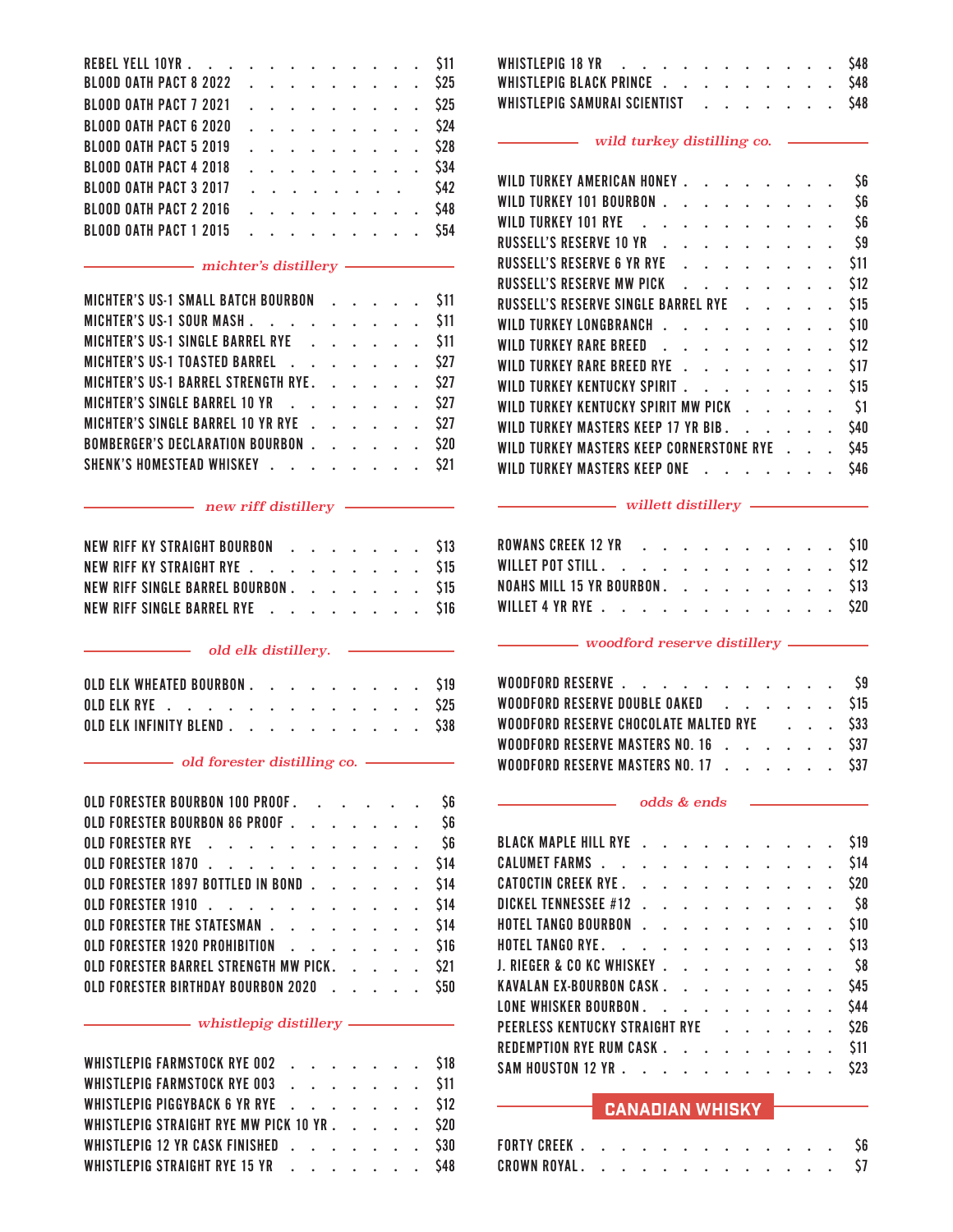|  | REBEL YELL 10YR \$11          |  |  |  |  |        |
|--|-------------------------------|--|--|--|--|--------|
|  | BLOOD OATH PACT 8 2022 \$25   |  |  |  |  |        |
|  | BLOOD OATH PACT 7 2021 \$25   |  |  |  |  |        |
|  | <b>BLOOD OATH PACT 6 2020</b> |  |  |  |  | . \$24 |
|  | <b>BLOOD OATH PACT 5 2019</b> |  |  |  |  | . \$28 |
|  | <b>BLOOD OATH PACT 4 2018</b> |  |  |  |  | . \$34 |
|  | <b>BLOOD OATH PACT 3 2017</b> |  |  |  |  | . \$42 |
|  | <b>BLOOD OATH PACT 2 2016</b> |  |  |  |  | . \$48 |
|  | <b>BLOOD OATH PACT 1 2015</b> |  |  |  |  | . \$54 |
|  |                               |  |  |  |  |        |

### *michter's distillery*

| MICHTER'S US-1 SMALL BATCH BOURBON \$11  |  |  |  |  |
|------------------------------------------|--|--|--|--|
| MICHTER'S US-1 SOUR MASH \$11            |  |  |  |  |
| MICHTER'S US-1 SINGLE BARREL RYE \$11    |  |  |  |  |
| MICHTER'S US-1 TOASTED BARREL \$27       |  |  |  |  |
| MICHTER'S US-1 BARREL STRENGTH RYE. \$27 |  |  |  |  |
| MICHTER'S SINGLE BARREL 10 YR \$27       |  |  |  |  |
| MICHTER'S SINGLE BARREL 10 YR RYE \$27   |  |  |  |  |
| BOMBERGER'S DECLARATION BOURBON \$20     |  |  |  |  |
| SHENK'S HOMESTEAD WHISKEY \$21           |  |  |  |  |
|                                          |  |  |  |  |

|  |  | NEW RIFF KY STRAIGHT BOURBON \$13   |  |  |  |  |  |
|--|--|-------------------------------------|--|--|--|--|--|
|  |  | NEW RIFF KY STRAIGHT RYE \$15       |  |  |  |  |  |
|  |  | NEW RIFF SINGLE BARREL BOURBON \$15 |  |  |  |  |  |
|  |  | NEW RIFF SINGLE BARREL RYE \$16     |  |  |  |  |  |

|  | OLD ELK WHEATED BOURBON \$19 |  |  |  |  |  |  |  |
|--|------------------------------|--|--|--|--|--|--|--|
|  | OLD ELK RYE \$25             |  |  |  |  |  |  |  |
|  | OLD ELK INFINITY BLEND \$38  |  |  |  |  |  |  |  |

### *old forester distilling co.*

| OLD FORESTER BOURBON 100 PROOF             |  |  |  |  |  |  | \$6 |
|--------------------------------------------|--|--|--|--|--|--|-----|
| OLD FORESTER BOURBON 86 PROOF S6           |  |  |  |  |  |  |     |
| OLD FORESTER RYE \$6                       |  |  |  |  |  |  |     |
| OLD FORESTER 1870 \$14                     |  |  |  |  |  |  |     |
| OLD FORESTER 1897 BOTTLED IN BOND \$14     |  |  |  |  |  |  |     |
| OLD FORESTER 1910 \$14                     |  |  |  |  |  |  |     |
| OLD FORESTER THE STATESMAN \$14            |  |  |  |  |  |  |     |
| OLD FORESTER 1920 PROHIBITION S16          |  |  |  |  |  |  |     |
| OLD FORESTER BARREL STRENGTH MW PICK. \$21 |  |  |  |  |  |  |     |
| OLD FORESTER BIRTHDAY BOURBON 2020 \$50    |  |  |  |  |  |  |     |

### *whistlepig distillery*

 $\overline{\phantom{0}}$ 

| WHISTLEPIG FARMSTOCK RYE 002 \$18          |  |  |  |  |
|--------------------------------------------|--|--|--|--|
| WHISTLEPIG FARMSTOCK RYE 003 \$11          |  |  |  |  |
| WHISTLEPIG PIGGYBACK 6 YR RYE \$12         |  |  |  |  |
| WHISTLEPIG STRAIGHT RYE MW PICK 10 YR \$20 |  |  |  |  |
| WHISTLEPIG 12 YR CASK FINISHED \$30        |  |  |  |  |
| WHISTLEPIG STRAIGHT RYE 15 YR \$48         |  |  |  |  |

| WHISTLEPIG 18 YR \$48             |  |  |  |  |  |  |  |
|-----------------------------------|--|--|--|--|--|--|--|
| WHISTLEPIG BLACK PRINCE \$48      |  |  |  |  |  |  |  |
| WHISTLEPIG SAMURAI SCIENTIST \$48 |  |  |  |  |  |  |  |

### *wild turkey distilling co.*

|  | WILD TURKEY AMERICAN HONEY.              |  |  |  | $\mathbf{r}$ , $\mathbf{r}$ , $\mathbf{r}$ , $\mathbf{r}$                                                                                                                                                                         |                                                |  | S6   |
|--|------------------------------------------|--|--|--|-----------------------------------------------------------------------------------------------------------------------------------------------------------------------------------------------------------------------------------|------------------------------------------------|--|------|
|  | WILD TURKEY 101 BOURBON .                |  |  |  | $\mathbf{r}$                                                                                                                                                                                                                      |                                                |  | \$6  |
|  | WILD TURKEY 101 RYE .                    |  |  |  | $\mathbf{r}$ . The set of the set of the set of the set of the set of the set of the set of the set of the set of the set of the set of the set of the set of the set of the set of the set of the set of the set of the set of t |                                                |  | \$6  |
|  | RUSSELL'S RESERVE 10 YR                  |  |  |  |                                                                                                                                                                                                                                   |                                                |  | \$9  |
|  | RUSSELL'S RESERVE 6 YR RYE               |  |  |  | $\mathbb{R}^2$ . The set of the set of the set of the set of the set of the set of the set of the set of the set of the set of the set of the set of the set of the set of the set of the set of the set of the set of the set of |                                                |  | \$11 |
|  | RUSSELL'S RESERVE MW PICK                |  |  |  | and the second control of the second                                                                                                                                                                                              |                                                |  | \$12 |
|  | RUSSELL'S RESERVE SINGLE BARREL RYE      |  |  |  |                                                                                                                                                                                                                                   |                                                |  | \$15 |
|  | WILD TURKEY LONGBRANCH                   |  |  |  |                                                                                                                                                                                                                                   |                                                |  | \$10 |
|  | WILD TURKEY RARE BREED                   |  |  |  | $\mathbf{r}$ . The set of the set of the set of the set of the set of the set of the set of the set of the set of the set of the set of the set of the set of the set of the set of the set of the set of the set of the set of t |                                                |  | \$12 |
|  | WILD TURKEY RARE BREED RYE               |  |  |  |                                                                                                                                                                                                                                   |                                                |  | \$17 |
|  | WILD TURKEY KENTUCKY SPIRIT.             |  |  |  | $\mathbf{r}$ . The set of the set of $\mathbf{r}$                                                                                                                                                                                 |                                                |  | \$15 |
|  | WILD TURKEY KENTUCKY SPIRIT MW PICK      |  |  |  |                                                                                                                                                                                                                                   |                                                |  | \$1  |
|  | WILD TURKEY MASTERS KEEP 17 YR BIB.      |  |  |  |                                                                                                                                                                                                                                   | $\mathbf{L}$ and $\mathbf{L}$ and $\mathbf{L}$ |  | \$40 |
|  | WILD TURKEY MASTERS KEEP CORNERSTONE RYE |  |  |  |                                                                                                                                                                                                                                   |                                                |  | \$45 |
|  | WILD TURKEY MASTERS KEEP ONE             |  |  |  |                                                                                                                                                                                                                                   |                                                |  | S46  |

### *new riff distillery willett distillery*

| ROWANS CREEK 12 YR \$10        |  |  |  |  |  |
|--------------------------------|--|--|--|--|--|
| WILLET POT STILL. \$12         |  |  |  |  |  |
| NOAHS MILL 15 YR BOURBON. \$13 |  |  |  |  |  |
| WILLET 4 YR RYE \$20           |  |  |  |  |  |

### *old elk distillery. woodford reserve distillery*

| WOODFORD RESERVE \$9                           |  |  |  |
|------------------------------------------------|--|--|--|
| WOODFORD RESERVE DOUBLE OAKED \$15             |  |  |  |
| WOODFORD RESERVE CHOCOLATE MALTED RYE Fig. 333 |  |  |  |
| WOODFORD RESERVE MASTERS NO. 16 \$37           |  |  |  |
| WOODFORD RESERVE MASTERS NO. 17 \$37           |  |  |  |

### *odds & ends*

| BLACK MAPLE HILL RYE           |  |  |  |  |  | \$19       |
|--------------------------------|--|--|--|--|--|------------|
| CALUMET FARMS                  |  |  |  |  |  | \$14       |
| CATOCTIN CREEK RYE             |  |  |  |  |  | \$20       |
| DICKEL TENNESSEE #12 \$8       |  |  |  |  |  |            |
| HOTEL TANGO BOURBON \$10       |  |  |  |  |  |            |
| HOTEL TANGO RYE. \$13          |  |  |  |  |  |            |
| J. RIEGER & CO KC WHISKEY \$8  |  |  |  |  |  |            |
| KAVALAN EX-BOURBON CASK        |  |  |  |  |  | <b>S45</b> |
| LONE WHISKER BOURBON           |  |  |  |  |  | \$44       |
| PEERLESS KENTUCKY STRAIGHT RYE |  |  |  |  |  | \$26       |
| REDEMPTION RYE RUM CASK        |  |  |  |  |  | <b>S11</b> |
| SAM HOUSTON 12 YR \$23         |  |  |  |  |  |            |

### CANADIAN WHISKY

| FORTY CREEK   |  |  |                                                                                                                 |  |  |  |  |
|---------------|--|--|-----------------------------------------------------------------------------------------------------------------|--|--|--|--|
| CROWN ROYAL . |  |  | the contract of the contract of the contract of the contract of the contract of the contract of the contract of |  |  |  |  |